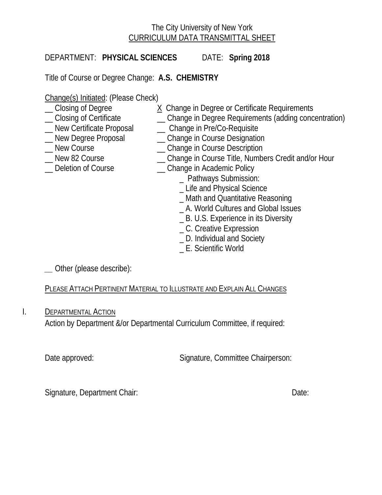# The City University of New York CURRICULUM DATA TRANSMITTAL SHEET

DEPARTMENT: **PHYSICAL SCIENCES** DATE: **Spring 2018**

Title of Course or Degree Change: **A.S. CHEMISTRY**

Change(s) Initiated: (Please Check)<br>
Closing of Degree (2004)

- 
- \_\_ Closing of Certificate \_\_ Change in Degree Requirements (adding concentration)
- \_\_ New Certificate Proposal \_\_ Change in Pre/Co-Requisite
- -
- 
- Lew Degree Proposal Change in Course Designation<br>
New Course Change in Course Description \_ Change in Course Description
	- \_\_ New 82 Course \_\_ Change in Course Title, Numbers Credit and/or Hour

X Change in Degree or Certificate Requirements

- 
- Deletion of Course **Example 20** Change in Academic Policy
	- \_ Pathways Submission:
	- \_ Life and Physical Science
	- \_ Math and Quantitative Reasoning
	- \_ A. World Cultures and Global Issues
	- \_ B. U.S. Experience in its Diversity
	- \_ C. Creative Expression
	- \_ D. Individual and Society
	- \_ E. Scientific World

*\_\_* Other (please describe):

PLEASE ATTACH PERTINENT MATERIAL TO ILLUSTRATE AND EXPLAIN ALL CHANGES

I. **DEPARTMENTAL ACTION** 

Action by Department &/or Departmental Curriculum Committee, if required:

Date approved: Signature, Committee Chairperson:

Signature, Department Chair: Date: Date: Date: Date: Date: Date: Date: Date: Date: Date: Date: Date: Date: Date: Date: Date: Date: Date: Date: Date: Date: Date: Date: Date: Date: Date: Date: Date: Date: Date: Date: Date: D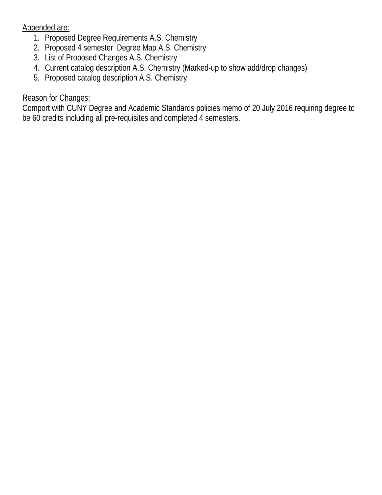Appended are:

- 1. Proposed Degree Requirements A.S. Chemistry
- 2. Proposed 4 semester Degree Map A.S. Chemistry
- 3. List of Proposed Changes A.S. Chemistry
- 4. Current catalog description A.S. Chemistry (Marked-up to show add/drop changes)
- 5. Proposed catalog description A.S. Chemistry

# Reason for Changes:

Comport with CUNY Degree and Academic Standards policies memo of 20 July 2016 requiring degree to be 60 credits including all pre-requisites and completed 4 semesters.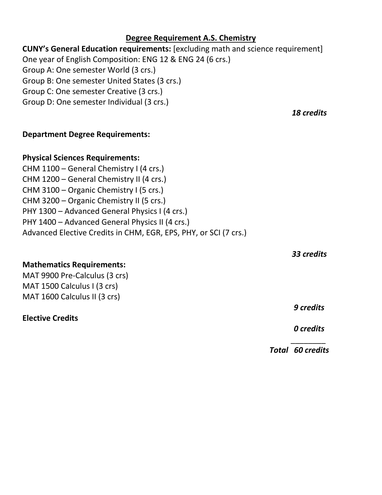# **Degree Requirement A.S. Chemistry**

# **CUNY's General Education requirements:** [excluding math and science requirement] One year of English Composition: ENG 12 & ENG 24 (6 crs.)

 $\mathcal{L}_\text{max}$  and  $\mathcal{L}_\text{max}$  are the set of the set of the set of the set of the set of the set of the set of the set of the set of the set of the set of the set of the set of the set of the set of the set of the set o

Group A: One semester World (3 crs.)

Group B: One semester United States (3 crs.)

Group C: One semester Creative (3 crs.)

Group D: One semester Individual (3 crs.)

*18 credits*

## **Department Degree Requirements:**

## **Physical Sciences Requirements:**

CHM 1100 – General Chemistry I (4 crs.) CHM 1200 – General Chemistry II (4 crs.) CHM 3100 – Organic Chemistry I (5 crs.) CHM 3200 – Organic Chemistry II (5 crs.) PHY 1300 – Advanced General Physics I (4 crs.) PHY 1400 – Advanced General Physics II (4 crs.) Advanced Elective Credits in CHM, EGR, EPS, PHY, or SCI (7 crs.)

*33 credits*

# **Mathematics Requirements:**

MAT 9900 Pre-Calculus (3 crs) MAT 1500 Calculus I (3 crs) MAT 1600 Calculus II (3 crs)

**Elective Credits**

*9 credits*

*0 credits*

*Total 60 credits*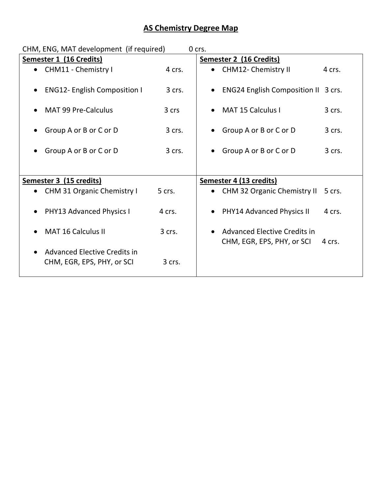# **AS Chemistry Degree Map**

| CHM, ENG, MAT development (if required)<br>0 crs.                       |        |                                              |
|-------------------------------------------------------------------------|--------|----------------------------------------------|
| Semester 1 (16 Credits)                                                 |        | <b>Semester 2 (16 Credits)</b>               |
| • CHM11 - Chemistry I                                                   | 4 crs. | <b>CHM12- Chemistry II</b><br>4 crs.         |
| <b>ENG12- English Composition I</b><br>$\bullet$                        | 3 crs. | <b>ENG24 English Composition II 3 crs.</b>   |
| <b>MAT 99 Pre-Calculus</b><br>$\bullet$                                 | 3 crs  | <b>MAT 15 Calculus I</b><br>3 crs.           |
| Group A or B or C or D                                                  | 3 crs. | Group A or B or C or D<br>3 crs.             |
| Group A or B or C or D                                                  | 3 crs. | Group A or B or C or D<br>3 crs.             |
|                                                                         |        |                                              |
| Semester 3 (15 credits)                                                 |        | Semester 4 (13 credits)                      |
| CHM 31 Organic Chemistry I                                              | 5 crs. | <b>CHM 32 Organic Chemistry II</b><br>5 crs. |
| PHY13 Advanced Physics I<br>$\bullet$                                   | 4 crs. | <b>PHY14 Advanced Physics II</b><br>4 crs.   |
| <b>MAT 16 Calculus II</b><br>$\bullet$                                  | 3 crs. | Advanced Elective Credits in                 |
| Advanced Elective Credits in<br>$\bullet$<br>CHM, EGR, EPS, PHY, or SCI | 3 crs. | CHM, EGR, EPS, PHY, or SCI<br>4 crs.         |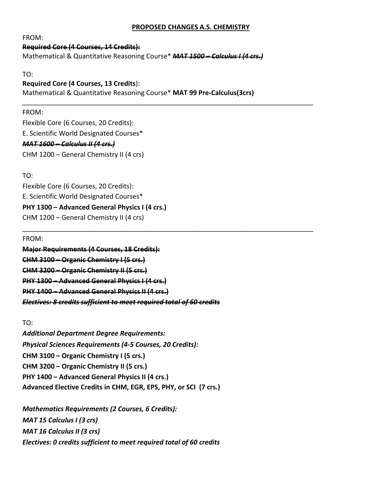## **PROPOSED CHANGES A.S. CHEMISTRY**

FROM:

## **Required Core (4 Courses, 14 Credits):**

Mathematical & Quantitative Reasoning Course\* *MAT 1500 – Calculus I (4 crs.)*

TO:

## **Required Core (4 Courses, 13 Credits**):

Mathematical & Quantitative Reasoning Course\* **MAT 99 Pre-Calculus(3crs)**

\_\_\_\_\_\_\_\_\_\_\_\_\_\_\_\_\_\_\_\_\_\_\_\_\_\_\_\_\_\_\_\_\_\_\_\_\_\_\_\_\_\_\_\_\_\_\_\_\_\_\_\_\_\_\_\_\_\_\_\_\_\_\_\_\_\_\_\_\_\_\_\_\_\_\_\_\_\_

\_\_\_\_\_\_\_\_\_\_\_\_\_\_\_\_\_\_\_\_\_\_\_\_\_\_\_\_\_\_\_\_\_\_\_\_\_\_\_\_\_\_\_\_\_\_\_\_\_\_\_\_\_\_\_\_\_\_\_\_\_\_\_\_\_\_\_\_\_\_\_\_\_\_\_\_\_\_

### FROM:

Flexible Core (6 Courses, 20 Credits): E. Scientific World Designated Courses\* *MAT 1600 – Calculus II (4 crs.)* CHM 1200 – General Chemistry II (4 crs)

TO:

Flexible Core (6 Courses, 20 Credits): E. Scientific World Designated Courses\* **PHY 1300 – Advanced General Physics I (4 crs.)**  CHM 1200 – General Chemistry II (4 crs)

FROM:

**Major Requirements (4 Courses, 18 Credits): CHM 3100 – Organic Chemistry I (5 crs.) CHM 3200 – Organic Chemistry II (5 crs.) PHY 1300 – Advanced General Physics I (4 crs.) PHY 1400 – Advanced General Physics II (4 crs.)**  *Electives: 8 credits sufficient to meet required total of 60 credits*

TO:

*Additional Department Degree Requirements: Physical Sciences Requirements (4-5 Courses, 20 Credits):* **CHM 3100 – Organic Chemistry I (5 crs.) CHM 3200 – Organic Chemistry II (5 crs.) PHY 1400 – Advanced General Physics II (4 crs.) Advanced Elective Credits in CHM, EGR, EPS, PHY, or SCI (7 crs.)**

*Mathematics Requirements (2 Courses, 6 Credits): MAT 15 Calculus I (3 crs) MAT 16 Calculus II (3 crs) Electives: 0 credits sufficient to meet required total of 60 credits*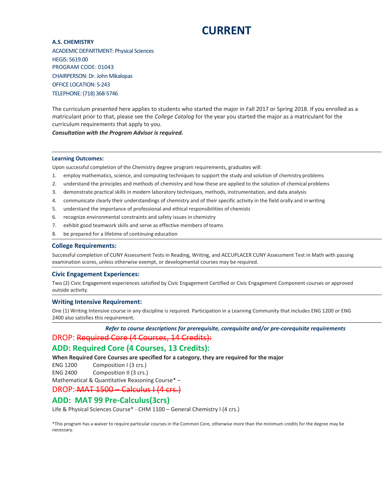# **CURRENT**

**A.S. CHEMISTRY** ACADEMIC DEPARTMENT: Physical Sciences HEGIS: 5619.00 PROGRAM CODE: 01043 CHAIRPERSON: Dr. John Mikalopas OFFICE LOCATION: S-243 TELEPHONE: (718) 368-5746

The curriculum presented here applies to students who started the major in Fall 2017 or Spring 2018. If you enrolled as a matriculant prior to that, please see the *College Catalog* for the year you started the major as a matriculant for the curriculum requirements that apply to you.

*Consultation with the Program Advisor is required.*

#### **Learning Outcomes:**

Upon successful completion of the Chemistry degree program requirements, graduates will:

- 1. employ mathematics, science, and computing techniques to support the study and solution of chemistry problems
- 2. understand the principles and methods of chemistry and how these are applied to the solution of chemical problems
- 3. demonstrate practical skills in modern laboratory techniques, methods, instrumentation, and data analysis
- 4. communicate clearly their understandings of chemistry and of their specific activity in the field orally and inwriting
- 5. understand the importance of professional and ethical responsibilities of chemists
- 6. recognize environmental constraints and safety issues in chemistry
- 7. exhibit good teamwork skills and serve as effective members of teams
- 8. be prepared for a lifetime of continuing education

#### **College Requirements:**

Successful completion of CUNY Assessment Tests in Reading, Writing, and ACCUPLACER CUNY Assessment Test in Math with passing examination scores, unless otherwise exempt, or developmental courses may be required.

#### **Civic Engagement Experiences:**

Two (2) Civic Engagement experiences satisfied by Civic Engagement Certified or Civic Engagement Component courses or approved outside activity.

#### **Writing Intensive Requirement:**

One (1) Writing Intensive course in any discipline is required. Participation in a Learning Community that includes ENG 1200 or ENG 2400 also satisfies this requirement.

*Refer to course descriptions for prerequisite, corequisite and/or pre-corequisite requirements* DROP: Required Core (4 Courses, 14 Credits):

### **ADD: Required Core (4 Courses, 13 Credits):**

**When Required Core Courses are specified for a category, they are required for the major**

ENG 1200 Composition I (3 crs.)

ENG 2400 Composition II (3 crs.)

Mathematical & Quantitative Reasoning Course\* –

DROP: MAT 1500 – Calculus I (4 crs.)

## **ADD: MAT 99 Pre-Calculus(3crs)**

Life & Physical Sciences Course\* - CHM 1100 – General Chemistry I (4 crs.)

\*This program has a waiver to require particular courses in the Common Core, otherwise more than the minimum credits for the degree may be necessary.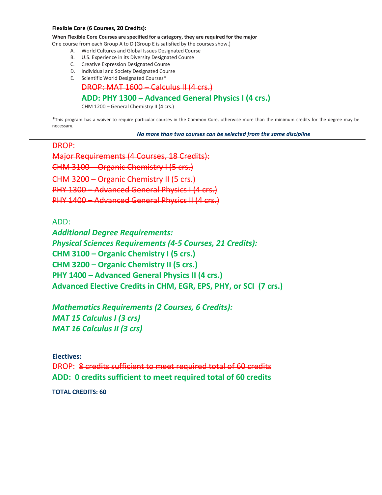#### **Flexible Core (6 Courses, 20 Credits):**

**When Flexible Core Courses are specified for a category, they are required for the major**

One course from each Group A to D (Group E is satisfied by the courses show.)

- A. World Cultures and Global Issues Designated Course
- B. U.S. Experience in its Diversity Designated Course
- C. Creative Expression Designated Course
- D. Individual and Society Designated Course
- E. Scientific World Designated Courses\*

DROP: MAT 1600 – Calculus II (4 crs.)

## **ADD: PHY 1300 – Advanced General Physics I (4 crs.)**

CHM 1200 – General Chemistry II (4 crs.)

\*This program has a waiver to require particular courses in the Common Core, otherwise more than the minimum credits for the degree may be necessary.

*No more than two courses can be selected from the same discipline*

DROP:

Major Requirements (4 Courses, 18 Credits): CHM 3100  $CHM$  3200 – Organic Chemistry II PHY 1300 – Advanced General Physics  $PHY$  1400 – Advanced General Physics II

ADD:

*Additional Degree Requirements: Physical Sciences Requirements (4-5 Courses, 21 Credits):* **CHM 3100 – Organic Chemistry I (5 crs.) CHM 3200 – Organic Chemistry II (5 crs.) PHY 1400 – Advanced General Physics II (4 crs.) Advanced Elective Credits in CHM, EGR, EPS, PHY, or SCI (7 crs.)**

*Mathematics Requirements (2 Courses, 6 Credits): MAT 15 Calculus I (3 crs) MAT 16 Calculus II (3 crs)*

**Electives:**

DROP: 8 credits sufficient to meet required total of 60 credits **ADD: 0 credits sufficient to meet required total of 60 credits**

**TOTAL CREDITS: 60**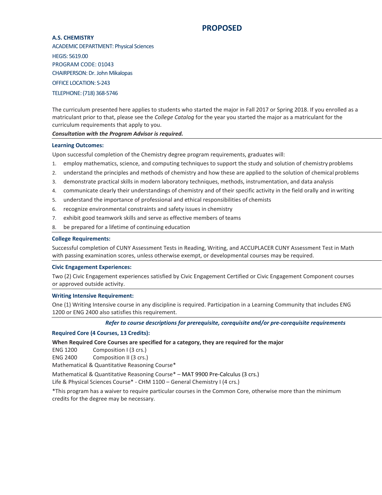## **PROPOSED**

#### **A.S. CHEMISTRY**

ACADEMIC DEPARTMENT: Physical Sciences HEGIS: 5619.00 PROGRAM CODE: 01043 CHAIRPERSON: Dr. John Mikalopas OFFICE LOCATION: S-243 TELEPHONE: (718) 368-5746

The curriculum presented here applies to students who started the major in Fall 2017 or Spring 2018. If you enrolled as a matriculant prior to that, please see the *College Catalog* for the year you started the major as a matriculant for the curriculum requirements that apply to you.

*Consultation with the Program Advisor is required.*

#### **Learning Outcomes:**

Upon successful completion of the Chemistry degree program requirements, graduates will:

- 1. employ mathematics, science, and computing techniques to support the study and solution of chemistry problems
- 2. understand the principles and methods of chemistry and how these are applied to the solution of chemical problems
- 3. demonstrate practical skills in modern laboratory techniques, methods, instrumentation, and data analysis
- 4. communicate clearly their understandings of chemistry and of their specific activity in the field orally and in writing
- 5. understand the importance of professional and ethical responsibilities of chemists
- 6. recognize environmental constraints and safety issues in chemistry
- 7. exhibit good teamwork skills and serve as effective members of teams
- 8. be prepared for a lifetime of continuing education

#### **College Requirements:**

Successful completion of CUNY Assessment Tests in Reading, Writing, and ACCUPLACER CUNY Assessment Test in Math with passing examination scores, unless otherwise exempt, or developmental courses may be required.

#### **Civic Engagement Experiences:**

Two (2) Civic Engagement experiences satisfied by Civic Engagement Certified or Civic Engagement Component courses or approved outside activity.

#### **Writing Intensive Requirement:**

One (1) Writing Intensive course in any discipline is required. Participation in a Learning Community that includes ENG 1200 or ENG 2400 also satisfies this requirement.

#### *Refer to course descriptions for prerequisite, corequisite and/or pre-corequisite requirements*

#### **Required Core (4 Courses, 13 Credits):**

#### **When Required Core Courses are specified for a category, they are required for the major**

ENG 1200 Composition I (3 crs.)

ENG 2400 Composition II (3 crs.)

Mathematical & Quantitative Reasoning Course\*

Mathematical & Quantitative Reasoning Course\* – MAT 9900 Pre-Calculus (3 crs.)

Life & Physical Sciences Course\* - CHM 1100 – General Chemistry I (4 crs.)

\*This program has a waiver to require particular courses in the Common Core, otherwise more than the minimum credits for the degree may be necessary.